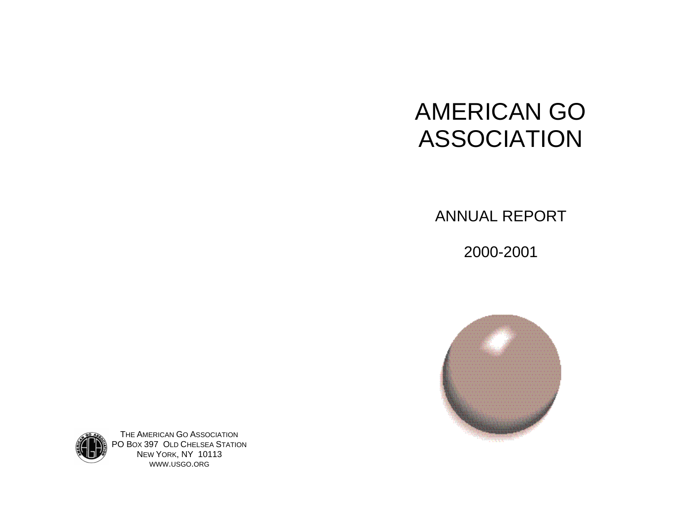# AMERICAN GO ASSOCIATION

ANNUAL REPORT

2000-2001





THE AMERICAN GO ASSOCIATION PO BOX 397 OLD CHELSEA STATION NEW YORK, NY 10113 WWW.USGO.ORG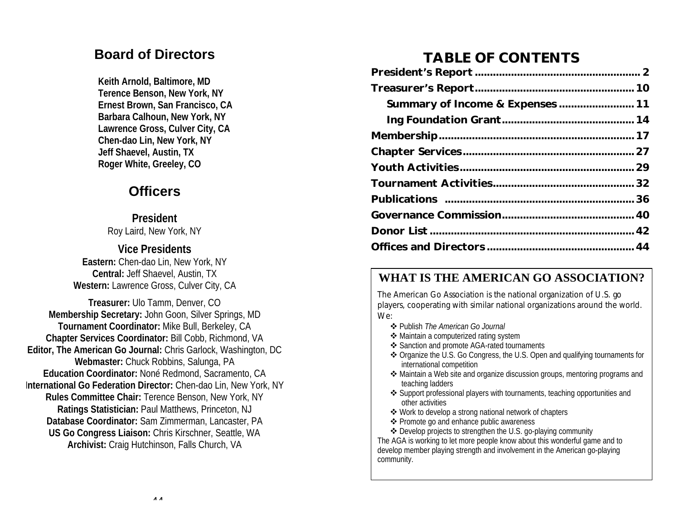## **Board of Directors**

**Keith Arnold, Baltimore, MD Terence Benson, New York, NY Ernest Brown, San Francisco, CA Barbara Calhoun, New York, NY Lawrence Gross, Culver City, CA Chen-dao Lin, New York, NY Jeff Shaevel, Austin, TX Roger White, Greeley, CO**

## **Officers**

## **President**

Roy Laird, New York, NY

### **Vice Presidents**

**Eastern:** Chen-dao Lin, New York, NY **Central:** Jeff Shaevel, Austin, TX **Western:** Lawrence Gross, Culver City, CA

**Treasurer:** Ulo Tamm, Denver, CO **Membership Secretary:** John Goon, Silver Springs, MD **Tournament Coordinator:** Mike Bull, Berkeley, CA **Chapter Services Coordinator:** Bill Cobb, Richmond, VA **Editor, The American Go Journal:** Chris Garlock, Washington, DC **Webmaster:** Chuck Robbins, Salunga, PA **Education Coordinator:** Noné Redmond, Sacramento, CA **International Go Federation Director:** Chen-dao Lin, New York, NY **Rules Committee Chair:** Terence Benson, New York, NY **Ratings Statistician:** Paul Matthews, Princeton, NJ **Database Coordinator:** Sam Zimmerman, Lancaster, PA **US Go Congress Liaison:** Chris Kirschner, Seattle, WA **Archivist:** Craig Hutchinson, Falls Church, VA

## **TABLE OF CONTENTS**

| Summary of Income & Expenses  11 |  |
|----------------------------------|--|
|                                  |  |
|                                  |  |
|                                  |  |
|                                  |  |
|                                  |  |
|                                  |  |
|                                  |  |
|                                  |  |
|                                  |  |

## **WHAT IS THE AMERICAN GO ASSOCIATION?**

The American Go Association is the national organization of U.S. go players, cooperating with similar national organizations around the world. We:

- v Publish *The American Go Journal*
- v Maintain a computerized rating system
- v Sanction and promote AGA-rated tournaments
- v Organize the U.S. Go Congress, the U.S. Open and qualifying tournaments for international competition
- \* Maintain a Web site and organize discussion groups, mentoring programs and teaching ladders
- \* Support professional players with tournaments, teaching opportunities and other activities
- v Work to develop a strong national network of chapters
- ❖ Promote go and enhance public awareness
- v Develop projects to strengthen the U.S. go-playing community

The AGA is working to let more people know about this wonderful game and to develop member playing strength and involvement in the American go-playing community.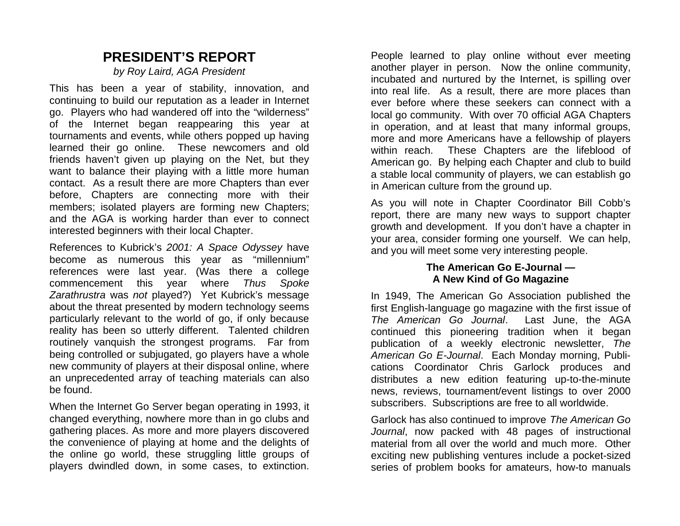## **PRESIDENT'S REPORT**

*by Roy Laird, AGA President*

This has been a year of stability, innovation, and continuing to build our reputation as a leader in Internet go. Players who had wandered off into the "wilderness" of the Internet began reappearing this year at tournaments and events, while others popped up having learned their go online. These newcomers and old friends haven't given up playing on the Net, but they want to balance their playing with a little more human contact. As a result there are more Chapters than ever before, Chapters are connecting more with their members; isolated players are forming new Chapters; and the AGA is working harder than ever to connect interested beginners with their local Chapter.

References to Kubrick's *2001: A Space Odyssey* have become as numerous this year as "millennium" references were last year. (Was there a college commencement this year where *Thus Spoke Zarathrustra* was *not* played?) Yet Kubrick's message about the threat presented by modern technology seems particularly relevant to the world of go, if only because reality has been so utterly different. Talented children routinely vanquish the strongest programs. Far from being controlled or subjugated, go players have a whole new community of players at their disposal online, where an unprecedented array of teaching materials can also be found.

When the Internet Go Server began operating in 1993, it changed everything, nowhere more than in go clubs and gathering places. As more and more players discovered the convenience of playing at home and the delights of the online go world, these struggling little groups of players dwindled down, in some cases, to extinction.

People learned to play online without ever meeting another player in person. Now the online community, incubated and nurtured by the Internet, is spilling over into real life. As a result, there are more places than ever before where these seekers can connect with a local go community. With over 70 official AGA Chapters in operation, and at least that many informal groups, more and more Americans have a fellowship of players within reach. These Chapters are the lifeblood of American go. By helping each Chapter and club to build a stable local community of players, we can establish go in American culture from the ground up.

As you will note in Chapter Coordinator Bill Cobb's report, there are many new ways to support chapter growth and development. If you don't have a chapter in your area, consider forming one yourself. We can help, and you will meet some very interesting people.

#### **The American Go E-Journal — A New Kind of Go Magazine**

In 1949, The American Go Association published the first English-language go magazine with the first issue of *The American Go Journal*. Last June, the AGA continued this pioneering tradition when it began publication of a weekly electronic newsletter, *The American Go E-Journal*. Each Monday morning, Publications Coordinator Chris Garlock produces and distributes a new edition featuring up-to-the-minute news, reviews, tournament/event listings to over 2000 subscribers. Subscriptions are free to all worldwide.

Garlock has also continued to improve *The American Go Journal*, now packed with 48 pages of instructional material from all over the world and much more. Other exciting new publishing ventures include a pocket-sized series of problem books for amateurs, how-to manuals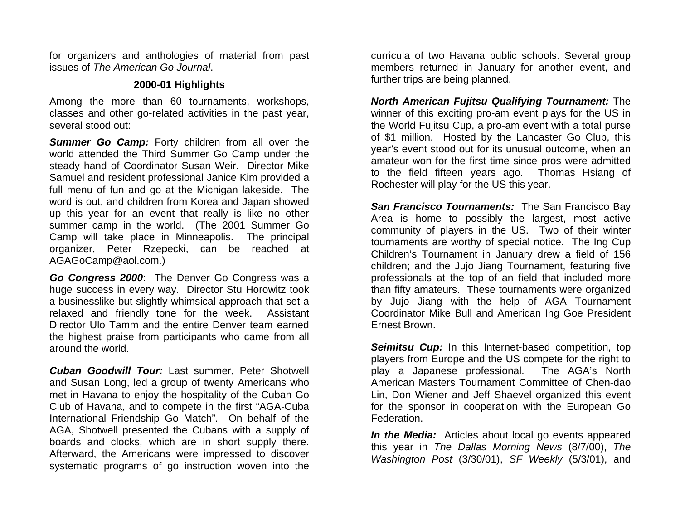for organizers and anthologies of material from past issues of *The American Go Journal*.

#### **2000-01 Highlights**

Among the more than 60 tournaments, workshops, classes and other go-related activities in the past year, several stood out:

**Summer Go Camp:** Forty children from all over the world attended the Third Summer Go Camp under the steady hand of Coordinator Susan Weir. Director Mike Samuel and resident professional Janice Kim provided a full menu of fun and go at the Michigan lakeside. The word is out, and children from Korea and Japan showed up this year for an event that really is like no other summer camp in the world. (The 2001 Summer Go Camp will take place in Minneapolis. The principal organizer, Peter Rzepecki, can be reached at AGAGoCamp@aol.com.)

*Go Congress 2000*: The Denver Go Congress was a huge success in every way. Director Stu Horowitz took a businesslike but slightly whimsical approach that set a relaxed and friendly tone for the week. Assistant Director Ulo Tamm and the entire Denver team earned the highest praise from participants who came from all around the world.

*Cuban Goodwill Tour:* Last summer, Peter Shotwell and Susan Long, led a group of twenty Americans who met in Havana to enjoy the hospitality of the Cuban Go Club of Havana, and to compete in the first "AGA-Cuba International Friendship Go Match". On behalf of the AGA, Shotwell presented the Cubans with a supply of boards and clocks, which are in short supply there. Afterward, the Americans were impressed to discover systematic programs of go instruction woven into the

curricula of two Havana public schools. Several group members returned in January for another event, and further trips are being planned.

*North American Fujitsu Qualifying Tournament:* The winner of this exciting pro-am event plays for the US in the World Fujitsu Cup, a pro-am event with a total purse of \$1 million. Hosted by the Lancaster Go Club, this year's event stood out for its unusual outcome, when an amateur won for the first time since pros were admitted to the field fifteen years ago. Thomas Hsiang of Rochester will play for the US this year.

*San Francisco Tournaments:* The San Francisco Bay Area is home to possibly the largest, most active community of players in the US. Two of their winter tournaments are worthy of special notice. The Ing Cup Children's Tournament in January drew a field of 156 children; and the Jujo Jiang Tournament, featuring five professionals at the top of an field that included more than fifty amateurs. These tournaments were organized by Jujo Jiang with the help of AGA Tournament Coordinator Mike Bull and American Ing Goe President Ernest Brown.

**Seimitsu Cup:** In this Internet-based competition, top players from Europe and the US compete for the right to play a Japanese professional. The AGA's North American Masters Tournament Committee of Chen-dao Lin, Don Wiener and Jeff Shaevel organized this event for the sponsor in cooperation with the European Go Federation.

*In the Media:* Articles about local go events appeared this year in *The Dallas Morning News* (8/7/00), *The Washington Post* (3/30/01), *SF Weekly* (5/3/01), and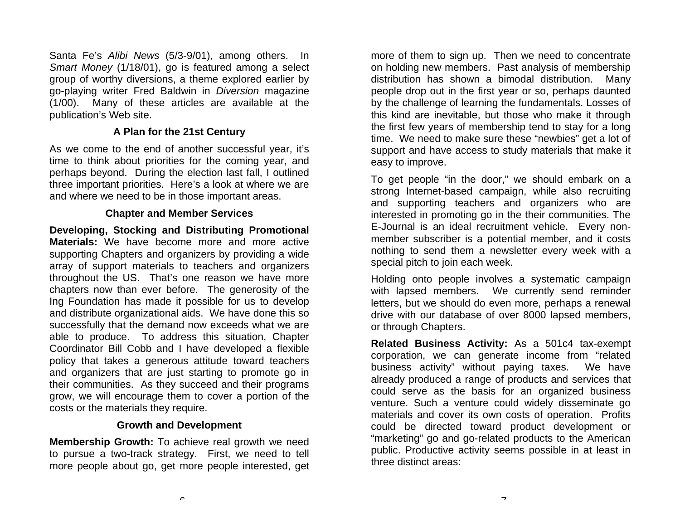Santa Fe's *Alibi News* (5/3-9/01), among others. In *Smart Money* (1/18/01), go is featured among a select group of worthy diversions, a theme explored earlier by go-playing writer Fred Baldwin in *Diversion* magazine (1/00). Many of these articles are available at the publication's Web site.

#### **A Plan for the 21st Century**

As we come to the end of another successful year, it's time to think about priorities for the coming year, and perhaps beyond. During the election last fall, I outlined three important priorities. Here's a look at where we are and where we need to be in those important areas.

#### **Chapter and Member Services**

**Developing, Stocking and Distributing Promotional Materials:** We have become more and more active supporting Chapters and organizers by providing a wide array of support materials to teachers and organizers throughout the US. That's one reason we have more chapters now than ever before. The generosity of the Ing Foundation has made it possible for us to develop and distribute organizational aids. We have done this so successfully that the demand now exceeds what we are able to produce. To address this situation, Chapter Coordinator Bill Cobb and I have developed a flexible policy that takes a generous attitude toward teachers and organizers that are just starting to promote go in their communities. As they succeed and their programs grow, we will encourage them to cover a portion of the costs or the materials they require.

#### **Growth and Development**

**Membership Growth:** To achieve real growth we need to pursue a two-track strategy. First, we need to tell more people about go, get more people interested, get

more of them to sign up. Then we need to concentrate on holding new members. Past analysis of membership distribution has shown a bimodal distribution. Many people drop out in the first year or so, perhaps daunted by the challenge of learning the fundamentals. Losses of this kind are inevitable, but those who make it through the first few years of membership tend to stay for a long time. We need to make sure these "newbies" get a lot of support and have access to study materials that make it easy to improve.

To get people "in the door," we should embark on a strong Internet-based campaign, while also recruiting and supporting teachers and organizers who are interested in promoting go in the their communities. The E-Journal is an ideal recruitment vehicle. Every nonmember subscriber is a potential member, and it costs nothing to send them a newsletter every week with a special pitch to join each week.

Holding onto people involves a systematic campaign with lapsed members. We currently send reminder letters, but we should do even more, perhaps a renewal drive with our database of over 8000 lapsed members, or through Chapters.

**Related Business Activity:** As a 501c4 tax-exempt corporation, we can generate income from "related business activity" without paying taxes. We have already produced a range of products and services that could serve as the basis for an organized business venture. Such a venture could widely disseminate go materials and cover its own costs of operation. Profits could be directed toward product development or "marketing" go and go-related products to the American public. Productive activity seems possible in at least in three distinct areas: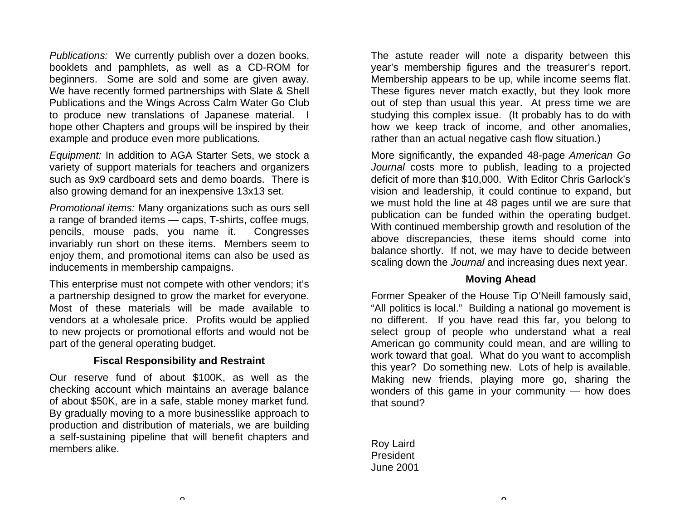*Publications:* We currently publish over a dozen books, booklets and pamphlets, as well as a CD-ROM for beginners. Some are sold and some are given away. We have recently formed partnerships with Slate & Shell Publications and the Wings Across Calm Water Go Club to produce new translations of Japanese material. I hope other Chapters and groups will be inspired by their example and produce even more publications.

*Equipment:* In addition to AGA Starter Sets, we stock a variety of support materials for teachers and organizers such as 9x9 cardboard sets and demo boards. There is also growing demand for an inexpensive 13x13 set.

*Promotional items:* Many organizations such as ours sell a range of branded items — caps, T-shirts, coffee mugs, pencils, mouse pads, you name it. Congresses invariably run short on these items. Members seem to enjoy them, and promotional items can also be used as inducements in membership campaigns.

This enterprise must not compete with other vendors; it's a partnership designed to grow the market for everyone. Most of these materials will be made available to vendors at a wholesale price. Profits would be applied to new projects or promotional efforts and would not be part of the general operating budget.

#### **Fiscal Responsibility and Restraint**

Our reserve fund of about \$100K, as well as the checking account which maintains an average balance of about \$50K, are in a safe, stable money market fund. By gradually moving to a more businesslike approach to production and distribution of materials, we are building a self-sustaining pipeline that will benefit chapters and members alike.

The astute reader will note a disparity between this year's membership figures and the treasurer's report. Membership appears to be up, while income seems flat. These figures never match exactly, but they look more out of step than usual this year. At press time we are studying this complex issue. (It probably has to do with how we keep track of income, and other anomalies, rather than an actual negative cash flow situation.)

More significantly, the expanded 48-page *American Go Journal* costs more to publish, leading to a projected deficit of more than \$10,000. With Editor Chris Garlock's vision and leadership, it could continue to expand, but we must hold the line at 48 pages until we are sure that publication can be funded within the operating budget. With continued membership growth and resolution of the above discrepancies, these items should come into balance shortly. If not, we may have to decide between scaling down the *Journal* and increasing dues next year.

#### **Moving Ahead**

Former Speaker of the House Tip O'Neill famously said, "All politics is local." Building a national go movement is no different. If you have read this far, you belong to select group of people who understand what a real American go community could mean, and are willing to work toward that goal. What do you want to accomplish this year? Do something new. Lots of help is available. Making new friends, playing more go, sharing the wonders of this game in your community — how does that sound?

Roy Laird President June 2001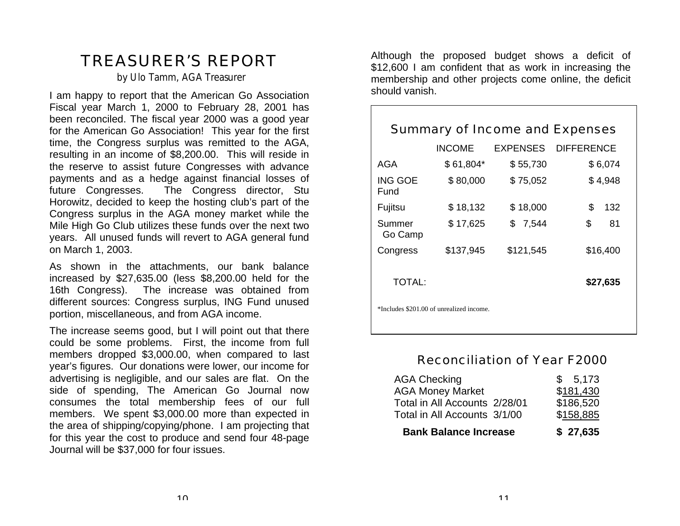## TREASURER'S REPORT

*by Ulo Tamm, AGA Treasurer*

I am happy to report that the American Go Association Fiscal year March 1, 2000 to February 28, 2001 has been reconciled. The fiscal year 2000 was a good year for the American Go Association! This year for the first time, the Congress surplus was remitted to the AGA, resulting in an income of \$8,200.00. This will reside in the reserve to assist future Congresses with advance payments and as a hedge against financial losses of future Congresses. The Congress director, Stu Horowitz, decided to keep the hosting club's part of the Congress surplus in the AGA money market while the Mile High Go Club utilizes these funds over the next two years. All unused funds will revert to AGA general fund on March 1, 2003.

As shown in the attachments, our bank balance increased by \$27,635.00 (less \$8,200.00 held for the 16th Congress). The increase was obtained from different sources: Congress surplus, ING Fund unused portion, miscellaneous, and from AGA income.

The increase seems good, but I will point out that there could be some problems. First, the income from full members dropped \$3,000.00, when compared to last year's figures. Our donations were lower, our income for advertising is negligible, and our sales are flat. On the side of spending, The American Go Journal now consumes the total membership fees of our full members. We spent \$3,000.00 more than expected in the area of shipping/copying/phone. I am projecting that for this year the cost to produce and send four 48-page Journal will be \$37,000 for four issues.

Although the proposed budget shows a deficit of \$12,600 I am confident that as work in increasing the membership and other projects come online, the deficit should vanish.

## Summary of Income and Expenses

|                        | <b>INCOME</b>                            | <b>EXPENSES</b> | <b>DIFFERENCE</b> |  |  |
|------------------------|------------------------------------------|-----------------|-------------------|--|--|
| <b>AGA</b>             | $$61,804*$                               | \$55,730        | \$6,074           |  |  |
| <b>ING GOE</b><br>Fund | \$80,000                                 | \$75,052        | \$4,948           |  |  |
| Fujitsu                | \$18,132                                 | \$18,000        | \$<br>132         |  |  |
| Summer<br>Go Camp      | \$17,625                                 | 7,544<br>S      | \$<br>81          |  |  |
| Congress               | \$137,945                                | \$121,545       | \$16,400          |  |  |
| TOTAL:                 |                                          |                 | \$27,635          |  |  |
|                        | *Includes \$201.00 of unrealized income. |                 |                   |  |  |

## Reconciliation of Year F2000

| <b>Bank Balance Increase</b>  | \$27,635  |
|-------------------------------|-----------|
| Total in All Accounts 3/1/00  | \$158,885 |
| Total in All Accounts 2/28/01 | \$186,520 |
| <b>AGA Money Market</b>       | \$181,430 |
| <b>AGA Checking</b>           | \$5,173   |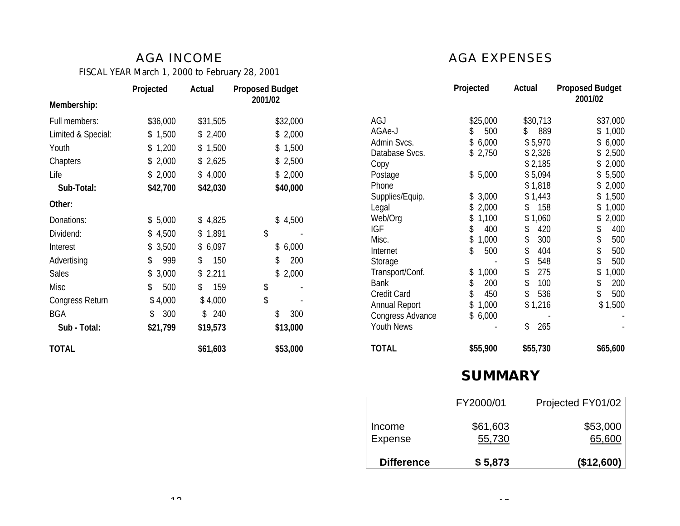## AGA INCOME

FISCAL YEAR March 1, 2000 to February 28, 2001

|                        | Projected   | Actual      | <b>Proposed Budget</b> |  |
|------------------------|-------------|-------------|------------------------|--|
| Membership:            |             |             | 2001/02                |  |
| Full members:          | \$36,000    | \$31,505    | \$32,000               |  |
| Limited & Special:     | \$1,500     | \$2,400     | \$2,000                |  |
| Youth                  | 1,200<br>\$ | \$1,500     | \$1,500                |  |
| Chapters               | 2,000<br>\$ | \$2,625     | \$2,500                |  |
| Life                   | \$2,000     | 4,000<br>\$ | \$2,000                |  |
| Sub-Total:             | \$42,700    | \$42,030    | \$40,000               |  |
| Other:                 |             |             |                        |  |
| Donations:             | 5,000<br>\$ | \$4,825     | 4,500<br>\$            |  |
| Dividend:              | 4,500<br>\$ | 1,891<br>\$ | \$                     |  |
| Interest               | 3,500<br>\$ | 6,097<br>\$ | \$<br>6,000            |  |
| Advertising            | 999<br>\$   | 150<br>\$   | 200<br>\$              |  |
| <b>Sales</b>           | 3,000<br>\$ | 2,211<br>\$ | 2,000<br>\$            |  |
| <b>Misc</b>            | 500<br>\$   | \$<br>159   | \$                     |  |
| <b>Congress Return</b> | \$4,000     | \$4,000     | \$                     |  |
| <b>BGA</b>             | 300<br>\$   | 240<br>\$   | \$<br>300              |  |
| Sub - Total:           | \$21,799    | \$19,573    | \$13,000               |  |
| <b>TOTAL</b>           |             | \$61,603    | \$53,000               |  |

## AGA EXPENSES

|                  | Projected   | Actual    | <b>Proposed Budget</b><br>2001/02 |
|------------------|-------------|-----------|-----------------------------------|
| AGJ              | \$25,000    | \$30,713  | \$37,000                          |
| AGAe-J           | 500<br>\$   | 889<br>\$ | 1,000<br>\$                       |
| Admin Svcs.      | \$<br>6,000 | \$5,970   | \$<br>6,000                       |
| Database Svcs.   | \$<br>2,750 | \$2,326   | \$<br>2,500                       |
| Copy             |             | \$2,185   | \$<br>2,000                       |
| Postage          | 5,000<br>\$ | \$5,094   | \$<br>5,500                       |
| Phone            |             | \$1,818   | \$<br>2,000                       |
| Supplies/Equip.  | 3,000<br>\$ | \$1,443   | \$<br>1,500                       |
| Legal            | \$<br>2,000 | \$<br>158 | \$<br>1,000                       |
| Web/Org          | \$<br>1,100 | \$1,060   | \$<br>2,000                       |
| <b>IGF</b>       | \$<br>400   | \$<br>420 | \$<br>400                         |
| Misc.            | \$<br>1,000 | \$<br>300 | \$<br>500                         |
| Internet         | \$<br>500   | \$<br>404 | \$<br>500                         |
| Storage          |             | \$<br>548 | \$<br>500                         |
| Transport/Conf.  | \$<br>1,000 | \$<br>275 | \$<br>1,000                       |
| <b>Bank</b>      | \$<br>200   | \$<br>100 | \$<br>200                         |
| Credit Card      | \$<br>450   | \$<br>536 | \$<br>500                         |
| Annual Report    | \$<br>1,000 | \$1,216   | \$1,500                           |
| Congress Advance | 6,000<br>\$ |           |                                   |
| Youth News       |             | \$<br>265 |                                   |
| <b>TOTAL</b>     | \$55,900    | \$55,730  | \$65,600                          |

## **SUMMARY**

| <b>Difference</b>        | \$5,873            | (\$12,600)         |
|--------------------------|--------------------|--------------------|
| Income<br><b>Expense</b> | \$61,603<br>55,730 | \$53,000<br>65,600 |
|                          | FY2000/01          | Projected FY01/02  |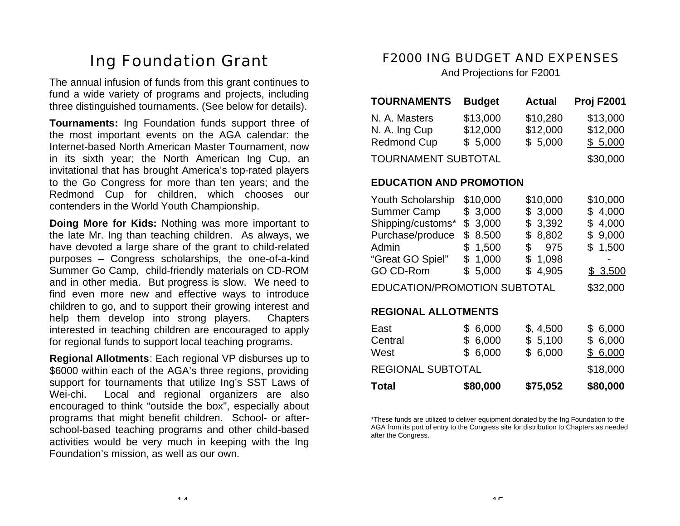## Ing Foundation Grant

The annual infusion of funds from this grant continues to fund a wide variety of programs and projects, including three distinguished tournaments. (See below for details).

**Tournaments:** Ing Foundation funds support three of the most important events on the AGA calendar: the Internet-based North American Master Tournament, now in its sixth year; the North American Ing Cup, an invitational that has brought America's top-rated players to the Go Congress for more than ten years; and the Redmond Cup for children, which chooses our contenders in the World Youth Championship.

**Doing More for Kids:** Nothing was more important to the late Mr. Ing than teaching children. As always, we have devoted a large share of the grant to child-related purposes – Congress scholarships, the one-of-a-kind Summer Go Camp, child-friendly materials on CD-ROM and in other media. But progress is slow. We need to find even more new and effective ways to introduce children to go, and to support their growing interest and help them develop into strong players. Chapters interested in teaching children are encouraged to apply for regional funds to support local teaching programs.

**Regional Allotments**: Each regional VP disburses up to \$6000 within each of the AGA's three regions, providing support for tournaments that utilize Ing's SST Laws of Wei-chi. Local and regional organizers are also encouraged to think "outside the box", especially about programs that might benefit children. School- or afterschool-based teaching programs and other child-based activities would be very much in keeping with the Ing Foundation's mission, as well as our own.

### F2000 ING BUDGET AND EXPENSES

And Projections for F2001

| <b>TOURNAMENTS</b>         | <b>Budget</b> | <b>Actual</b> | <b>Proj F2001</b> |
|----------------------------|---------------|---------------|-------------------|
| N. A. Masters              | \$13,000      | \$10,280      | \$13,000          |
| N. A. Ing Cup              | \$12,000      | \$12,000      | \$12,000          |
| <b>Redmond Cup</b>         | \$5,000       | \$5,000       | \$5,000           |
| <b>TOURNAMENT SUBTOTAL</b> |               |               | \$30,000          |

#### **EDUCATION AND PROMOTION**

| <b>Total</b>                                                                    | \$80,000                                                           | \$75,052                                                      | \$80,000                                             |  |  |  |
|---------------------------------------------------------------------------------|--------------------------------------------------------------------|---------------------------------------------------------------|------------------------------------------------------|--|--|--|
| <b>REGIONAL SUBTOTAL</b>                                                        |                                                                    |                                                               | \$18,000                                             |  |  |  |
| East<br>Central<br>West                                                         | 6,000<br>\$<br>6,000<br>\$<br>6,000<br>\$                          | \$, 4,500<br>\$5,100<br>6,000<br>\$                           | \$6,000<br>\$6,000<br>\$6,000                        |  |  |  |
| <b>EDUCATION/PROMOTION SUBTOTAL</b><br>\$32,000<br><b>REGIONAL ALLOTMENTS</b>   |                                                                    |                                                               |                                                      |  |  |  |
|                                                                                 |                                                                    |                                                               |                                                      |  |  |  |
| Shipping/customs*<br>Purchase/produce<br>Admin<br>"Great GO Spiel"<br>GO CD-Rom | 3,000<br>\$<br>8.500<br>\$<br>1,500<br>\$<br>\$1,000<br>5,000<br>S | \$3,392<br>8,802<br>\$<br>975<br>\$<br>\$1,098<br>4,905<br>\$ | \$<br>4,000<br>9,000<br>\$<br>1,500<br>\$<br>\$3,500 |  |  |  |
| <b>Youth Scholarship</b><br><b>Summer Camp</b>                                  | \$10,000<br>3,000<br>\$                                            | \$10,000<br>3,000<br>\$                                       | \$10,000<br>4,000<br>\$                              |  |  |  |

\*These funds are utilized to deliver equipment donated by the Ing Foundation to the AGA from its port of entry to the Congress site for distribution to Chapters as needed after the Congress.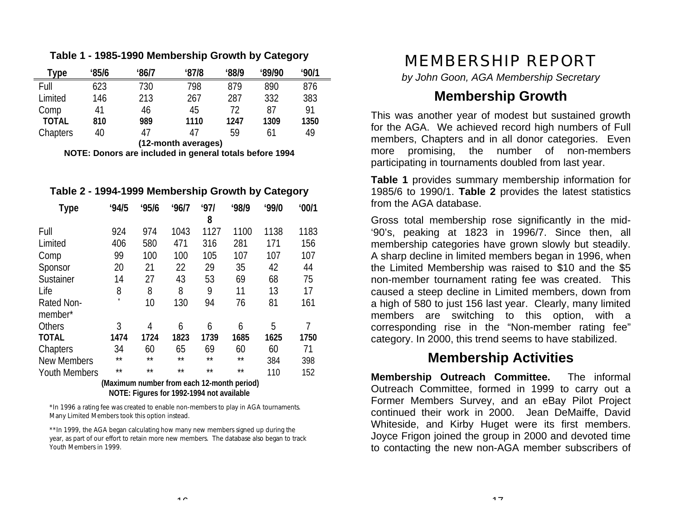| Type         | '85/6 | '86/7 | '87/8 | '88/9 | '89/90 | '90/1 |
|--------------|-------|-------|-------|-------|--------|-------|
| Full         | 623   | 730   | 798   | 879   | 890    | 876   |
| Limited      | 146   | 213   | 267   | 287   | 332    | 383   |
| Comp         | 41    | 46    | 45    | 72    | 87     | 91    |
| <b>TOTAL</b> | 810   | 989   | 1110  | 1247  | 1309   | 1350  |
| Chapters     | 40    | 47    | 47    | 59    | 61     | 49    |

#### **Table 1 - 1985-1990 Membership Growth by Category**

 **(12-month averages) NOTE: Donors are included in general totals before 1994**

#### **Table 2 - 1994-1999 Membership Growth by Category**

| <b>Type</b>          | '94/5 | '95/6 | '96/7 | '97  | '98/9 | '99/0 | '00/1 |
|----------------------|-------|-------|-------|------|-------|-------|-------|
|                      |       |       |       | 8    |       |       |       |
| Full                 | 924   | 974   | 1043  | 1127 | 1100  | 1138  | 1183  |
| Limited              | 406   | 580   | 471   | 316  | 281   | 171   | 156   |
| Comp                 | 99    | 100   | 100   | 105  | 107   | 107   | 107   |
| Sponsor              | 20    | 21    | 22    | 29   | 35    | 42    | 44    |
| Sustainer            | 14    | 27    | 43    | 53   | 69    | 68    | 75    |
| Life                 | 8     | 8     | 8     | 9    | 11    | 13    | 17    |
| <b>Rated Non-</b>    |       | 10    | 130   | 94   | 76    | 81    | 161   |
| member*              |       |       |       |      |       |       |       |
| Others               | 3     | 4     | 6     | 6    | 6     | 5     |       |
| <b>TOTAL</b>         | 1474  | 1724  | 1823  | 1739 | 1685  | 1625  | 1750  |
| Chapters             | 34    | 60    | 65    | 69   | 60    | 60    | 71    |
| New Members          | $**$  | $**$  | $**$  | $**$ | $**$  | 384   | 398   |
| <b>Youth Members</b> | $**$  | $**$  | $**$  | $**$ | $**$  | 110   | 152   |

#### **(Maximum number from each 12-month period) NOTE: Figures for 1992-1994 not available**

\*In 1996 a rating fee was created to enable non-members to play in AGA tournaments. Many Limited Members took this option instead.

\*\*In 1999, the AGA began calculating how many new members signed up during the year, as part of our effort to retain more new members. The database also began to track Youth Members in 1999.

## MEMBERSHIP REPORT

*by John Goon, AGA Membership Secretary*

## **Membership Growth**

This was another year of modest but sustained growth for the AGA. We achieved record high numbers of Full members, Chapters and in all donor categories. Even more promising, the number of non-members participating in tournaments doubled from last year.

**Table 1** provides summary membership information for 1985/6 to 1990/1. **Table 2** provides the latest statistics from the AGA database.

Gross total membership rose significantly in the mid- '90's, peaking at 1823 in 1996/7. Since then, all membership categories have grown slowly but steadily. A sharp decline in limited members began in 1996, when the Limited Membership was raised to \$10 and the \$5 non-member tournament rating fee was created. This caused a steep decline in Limited members, down from a high of 580 to just 156 last year. Clearly, many limited members are switching to this option, with a corresponding rise in the "Non-member rating fee" category. In 2000, this trend seems to have stabilized.

## **Membership Activities**

**Membership Outreach Committee.** The informal Outreach Committee, formed in 1999 to carry out a Former Members Survey, and an eBay Pilot Project continued their work in 2000. Jean DeMaiffe, David Whiteside, and Kirby Huget were its first members. Joyce Frigon joined the group in 2000 and devoted time to contacting the new non-AGA member subscribers of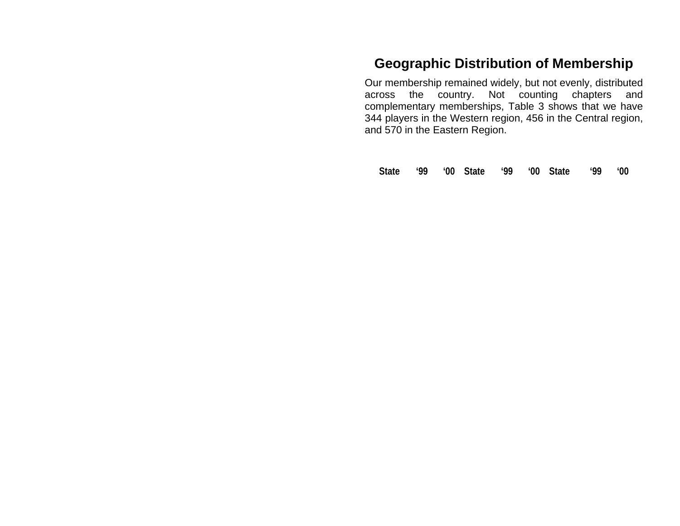## **Geographic Distribution of Membership**

Our membership remained widely, but not evenly, distributed across the country. Not counting chapters and complementary memberships, Table 3 shows that we have 344 players in the Western region, 456 in the Central region, and 570 in the Eastern Region.

**State '99 '00 State '99 '00 State '99 '00**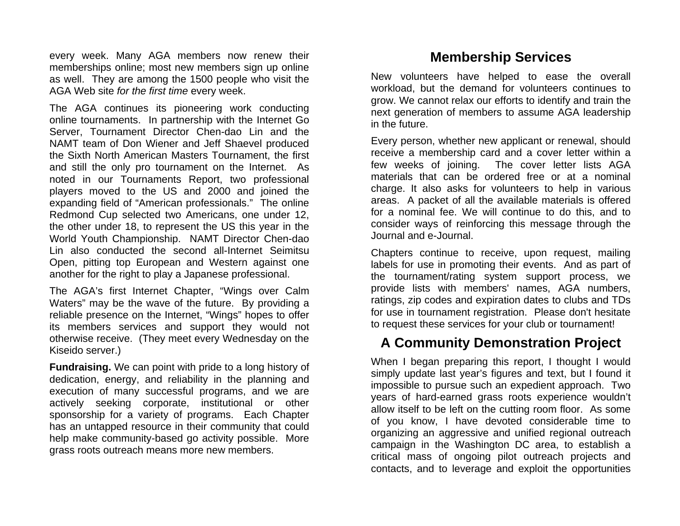every week. Many AGA members now renew their memberships online; most new members sign up online as well. They are among the 1500 people who visit the AGA Web site *for the first time* every week.

The AGA continues its pioneering work conducting online tournaments. In partnership with the Internet Go Server, Tournament Director Chen-dao Lin and the NAMT team of Don Wiener and Jeff Shaevel produced the Sixth North American Masters Tournament, the first and still the only pro tournament on the Internet. As noted in our Tournaments Report, two professional players moved to the US and 2000 and joined the expanding field of "American professionals." The online Redmond Cup selected two Americans, one under 12, the other under 18, to represent the US this year in the World Youth Championship. NAMT Director Chen-dao Lin also conducted the second all-Internet Seimitsu Open, pitting top European and Western against one another for the right to play a Japanese professional.

The AGA's first Internet Chapter, "Wings over Calm Waters" may be the wave of the future. By providing a reliable presence on the Internet, "Wings" hopes to offer its members services and support they would not otherwise receive. (They meet every Wednesday on the Kiseido server.)

**Fundraising.** We can point with pride to a long history of dedication, energy, and reliability in the planning and execution of many successful programs, and we are actively seeking corporate, institutional or other sponsorship for a variety of programs. Each Chapter has an untapped resource in their community that could help make community-based go activity possible. More grass roots outreach means more new members.

## **Membership Services**

New volunteers have helped to ease the overall workload, but the demand for volunteers continues to grow. We cannot relax our efforts to identify and train the next generation of members to assume AGA leadership in the future.

Every person, whether new applicant or renewal, should receive a membership card and a cover letter within a few weeks of joining. The cover letter lists AGA materials that can be ordered free or at a nominal charge. It also asks for volunteers to help in various areas. A packet of all the available materials is offered for a nominal fee. We will continue to do this, and to consider ways of reinforcing this message through the Journal and e-Journal.

Chapters continue to receive, upon request, mailing labels for use in promoting their events. And as part of the tournament/rating system support process, we provide lists with members' names, AGA numbers, ratings, zip codes and expiration dates to clubs and TDs for use in tournament registration. Please don't hesitate to request these services for your club or tournament!

## **A Community Demonstration Project**

When I began preparing this report, I thought I would simply update last year's figures and text, but I found it impossible to pursue such an expedient approach. Two years of hard-earned grass roots experience wouldn't allow itself to be left on the cutting room floor. As some of you know, I have devoted considerable time to organizing an aggressive and unified regional outreach campaign in the Washington DC area, to establish a critical mass of ongoing pilot outreach projects and contacts, and to leverage and exploit the opportunities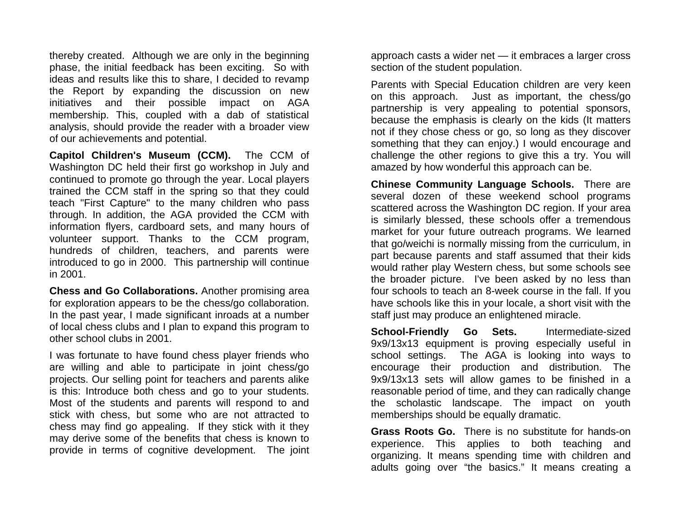thereby created. Although we are only in the beginning phase, the initial feedback has been exciting. So with ideas and results like this to share, I decided to revamp the Report by expanding the discussion on new initiatives and their possible impact on AGA membership. This, coupled with a dab of statistical analysis, should provide the reader with a broader view of our achievements and potential.

**Capitol Children's Museum (CCM).** The CCM of Washington DC held their first go workshop in July and continued to promote go through the year. Local players trained the CCM staff in the spring so that they could teach "First Capture" to the many children who pass through. In addition, the AGA provided the CCM with information flyers, cardboard sets, and many hours of volunteer support. Thanks to the CCM program, hundreds of children, teachers, and parents were introduced to go in 2000. This partnership will continue in 2001.

**Chess and Go Collaborations.** Another promising area for exploration appears to be the chess/go collaboration. In the past year, I made significant inroads at a number of local chess clubs and I plan to expand this program to other school clubs in 2001.

I was fortunate to have found chess player friends who are willing and able to participate in joint chess/go projects. Our selling point for teachers and parents alike is this: Introduce both chess and go to your students. Most of the students and parents will respond to and stick with chess, but some who are not attracted to chess may find go appealing. If they stick with it they may derive some of the benefits that chess is known to provide in terms of cognitive development. The joint

approach casts a wider net — it embraces a larger cross section of the student population.

Parents with Special Education children are very keen on this approach. Just as important, the chess/go partnership is very appealing to potential sponsors, because the emphasis is clearly on the kids (It matters not if they chose chess or go, so long as they discover something that they can enjoy.) I would encourage and challenge the other regions to give this a try. You will amazed by how wonderful this approach can be.

**Chinese Community Language Schools.** There are several dozen of these weekend school programs scattered across the Washington DC region. If your area is similarly blessed, these schools offer a tremendous market for your future outreach programs. We learned that go/weichi is normally missing from the curriculum, in part because parents and staff assumed that their kids would rather play Western chess, but some schools see the broader picture. I've been asked by no less than four schools to teach an 8-week course in the fall. If you have schools like this in your locale, a short visit with the staff just may produce an enlightened miracle.

**School-Friendly Go Sets.** Intermediate-sized 9x9/13x13 equipment is proving especially useful in school settings. The AGA is looking into ways to encourage their production and distribution. The 9x9/13x13 sets will allow games to be finished in a reasonable period of time, and they can radically change the scholastic landscape. The impact on youth memberships should be equally dramatic.

**Grass Roots Go.** There is no substitute for hands-on experience. This applies to both teaching and organizing. It means spending time with children and adults going over "the basics." It means creating a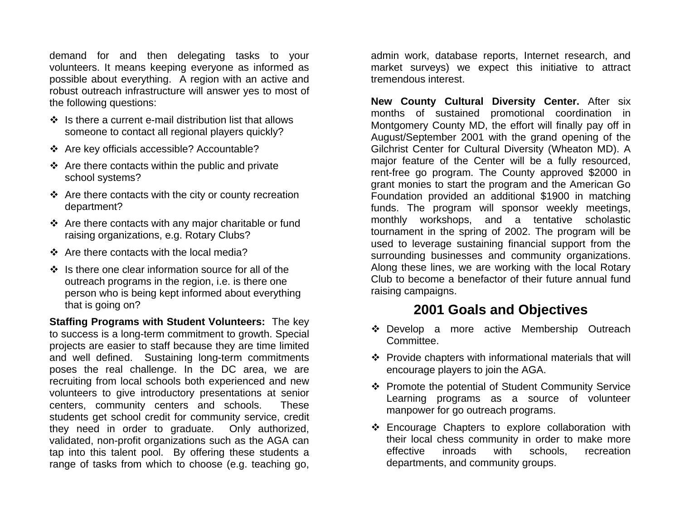demand for and then delegating tasks to your volunteers. It means keeping everyone as informed as possible about everything. A region with an active and robust outreach infrastructure will answer yes to most of the following questions:

- $\div$  Is there a current e-mail distribution list that allows someone to contact all regional players quickly?
- v Are key officials accessible? Accountable?
- $\div$  Are there contacts within the public and private school systems?
- $\div$  Are there contacts with the city or county recreation department?
- $\div$  Are there contacts with any major charitable or fund raising organizations, e.g. Rotary Clubs?
- $\triangle$  Are there contacts with the local media?
- $\div$  Is there one clear information source for all of the outreach programs in the region, i.e. is there one person who is being kept informed about everything that is going on?

**Staffing Programs with Student Volunteers:** The key to success is a long-term commitment to growth. Special projects are easier to staff because they are time limited and well defined. Sustaining long-term commitments poses the real challenge. In the DC area, we are recruiting from local schools both experienced and new volunteers to give introductory presentations at senior centers, community centers and schools. These students get school credit for community service, credit they need in order to graduate. Only authorized, validated, non-profit organizations such as the AGA can tap into this talent pool. By offering these students a range of tasks from which to choose (e.g. teaching go,

admin work, database reports, Internet research, and market surveys) we expect this initiative to attract tremendous interest.

**New County Cultural Diversity Center.** After six months of sustained promotional coordination in Montgomery County MD, the effort will finally pay off in August/September 2001 with the grand opening of the Gilchrist Center for Cultural Diversity (Wheaton MD). A major feature of the Center will be a fully resourced, rent-free go program. The County approved \$2000 in grant monies to start the program and the American Go Foundation provided an additional \$1900 in matching funds. The program will sponsor weekly meetings, monthly workshops, and a tentative scholastic tournament in the spring of 2002. The program will be used to leverage sustaining financial support from the surrounding businesses and community organizations. Along these lines, we are working with the local Rotary Club to become a benefactor of their future annual fund raising campaigns.

## **2001 Goals and Objectives**

- \* Develop a more active Membership Outreach Committee.
- $\div$  Provide chapters with informational materials that will encourage players to join the AGA.
- v Promote the potential of Student Community Service Learning programs as a source of volunteer manpower for go outreach programs.
- $\div$  Encourage Chapters to explore collaboration with their local chess community in order to make more effective inroads with schools, recreation departments, and community groups.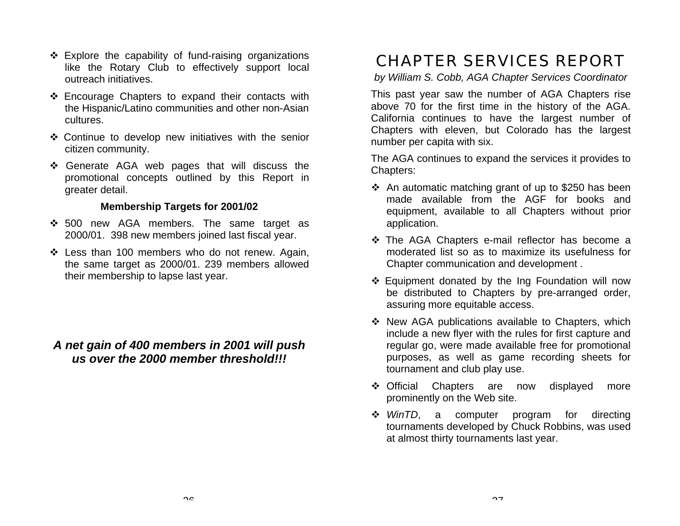- $\div$  Explore the capability of fund-raising organizations like the Rotary Club to effectively support local outreach initiatives.
- $\div$  Encourage Chapters to expand their contacts with the Hispanic/Latino communities and other non-Asian cultures.
- $\div$  Continue to develop new initiatives with the senior citizen community.
- v Generate AGA web pages that will discuss the promotional concepts outlined by this Report in greater detail.

### **Membership Targets for 2001/02**

- $\div$  500 new AGA members. The same target as 2000/01. 398 new members joined last fiscal year.
- $\div$  Less than 100 members who do not renew. Again, the same target as 2000/01. 239 members allowed their membership to lapse last year.

### *A net gain of 400 members in 2001 will push us over the 2000 member threshold!!!*

## CHAPTER SERVICES REPORT

*by William S. Cobb, AGA Chapter Services Coordinator*

This past year saw the number of AGA Chapters rise above 70 for the first time in the history of the AGA. California continues to have the largest number of Chapters with eleven, but Colorado has the largest number per capita with six.

The AGA continues to expand the services it provides to Chapters:

- $\div$  An automatic matching grant of up to \$250 has been made available from the AGF for books and equipment, available to all Chapters without prior application.
- \* The AGA Chapters e-mail reflector has become a moderated list so as to maximize its usefulness for Chapter communication and development .
- \* Equipment donated by the Ing Foundation will now be distributed to Chapters by pre-arranged order, assuring more equitable access.
- $\div$  New AGA publications available to Chapters, which include a new flyer with the rules for first capture and regular go, were made available free for promotional purposes, as well as game recording sheets for tournament and club play use.
- ◆ Official Chapters are now displayed more prominently on the Web site.
- **❖** *WinTD*, a computer program for directing tournaments developed by Chuck Robbins, was used at almost thirty tournaments last year.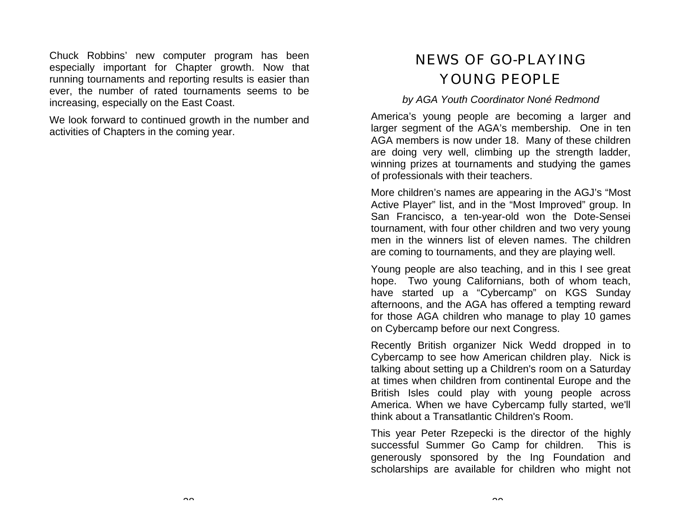Chuck Robbins' new computer program has been especially important for Chapter growth. Now that running tournaments and reporting results is easier than ever, the number of rated tournaments seems to be increasing, especially on the East Coast.

We look forward to continued growth in the number and activities of Chapters in the coming year.

## NEWS OF GO-PLAYING YOUNG PEOPLE

#### *by AGA Youth Coordinator Noné Redmond*

America's young people are becoming a larger and larger segment of the AGA's membership. One in ten AGA members is now under 18. Many of these children are doing very well, climbing up the strength ladder, winning prizes at tournaments and studying the games of professionals with their teachers.

More children's names are appearing in the AGJ's "Most Active Player" list, and in the "Most Improved" group. In San Francisco, a ten-year-old won the Dote-Sensei tournament, with four other children and two very young men in the winners list of eleven names. The children are coming to tournaments, and they are playing well.

Young people are also teaching, and in this I see great hope. Two young Californians, both of whom teach, have started up a "Cybercamp" on KGS Sunday afternoons, and the AGA has offered a tempting reward for those AGA children who manage to play 10 games on Cybercamp before our next Congress.

Recently British organizer Nick Wedd dropped in to Cybercamp to see how American children play. Nick is talking about setting up a Children's room on a Saturday at times when children from continental Europe and the British Isles could play with young people across America. When we have Cybercamp fully started, we'll think about a Transatlantic Children's Room.

This year Peter Rzepecki is the director of the highly successful Summer Go Camp for children. This is generously sponsored by the Ing Foundation and scholarships are available for children who might not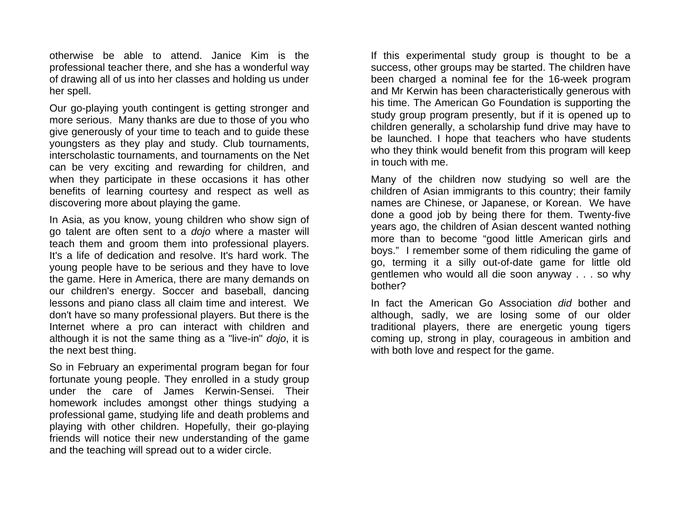otherwise be able to attend. Janice Kim is the professional teacher there, and she has a wonderful way of drawing all of us into her classes and holding us under her spell.

Our go-playing youth contingent is getting stronger and more serious. Many thanks are due to those of you who give generously of your time to teach and to guide these youngsters as they play and study. Club tournaments, interscholastic tournaments, and tournaments on the Net can be very exciting and rewarding for children, and when they participate in these occasions it has other benefits of learning courtesy and respect as well as discovering more about playing the game.

In Asia, as you know, young children who show sign of go talent are often sent to a *dojo* where a master will teach them and groom them into professional players. It's a life of dedication and resolve. It's hard work. The young people have to be serious and they have to love the game. Here in America, there are many demands on our children's energy. Soccer and baseball, dancing lessons and piano class all claim time and interest. We don't have so many professional players. But there is the Internet where a pro can interact with children and although it is not the same thing as a "live-in" *dojo*, it is the next best thing.

So in February an experimental program began for four fortunate young people. They enrolled in a study group under the care of James Kerwin-Sensei. Their homework includes amongst other things studying a professional game, studying life and death problems and playing with other children. Hopefully, their go-playing friends will notice their new understanding of the game and the teaching will spread out to a wider circle.

If this experimental study group is thought to be a success, other groups may be started. The children have been charged a nominal fee for the 16-week program and Mr Kerwin has been characteristically generous with his time. The American Go Foundation is supporting the study group program presently, but if it is opened up to children generally, a scholarship fund drive may have to be launched. I hope that teachers who have students who they think would benefit from this program will keep in touch with me.

Many of the children now studying so well are the children of Asian immigrants to this country; their family names are Chinese, or Japanese, or Korean. We have done a good job by being there for them. Twenty-five years ago, the children of Asian descent wanted nothing more than to become "good little American girls and boys." I remember some of them ridiculing the game of go, terming it a silly out-of-date game for little old gentlemen who would all die soon anyway . . . so why bother?

In fact the American Go Association *did* bother and although, sadly, we are losing some of our older traditional players, there are energetic young tigers coming up, strong in play, courageous in ambition and with both love and respect for the game.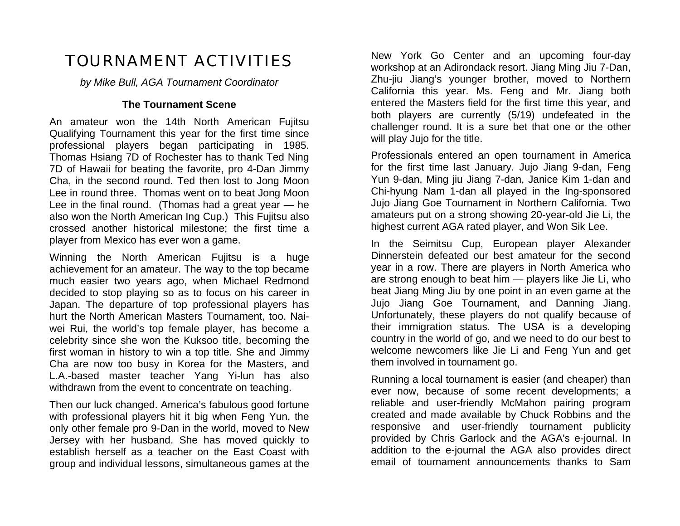## TOURNAMENT ACTIVITIES

*by Mike Bull, AGA Tournament Coordinator*

### **The Tournament Scene**

An amateur won the 14th North American Fujitsu Qualifying Tournament this year for the first time since professional players began participating in 1985. Thomas Hsiang 7D of Rochester has to thank Ted Ning 7D of Hawaii for beating the favorite, pro 4-Dan Jimmy Cha, in the second round. Ted then lost to Jong Moon Lee in round three. Thomas went on to beat Jong Moon Lee in the final round. (Thomas had a great year — he also won the North American Ing Cup.) This Fujitsu also crossed another historical milestone; the first time a player from Mexico has ever won a game.

Winning the North American Fujitsu is a huge achievement for an amateur. The way to the top became much easier two years ago, when Michael Redmond decided to stop playing so as to focus on his career in Japan. The departure of top professional players has hurt the North American Masters Tournament, too. Naiwei Rui, the world's top female player, has become a celebrity since she won the Kuksoo title, becoming the first woman in history to win a top title. She and Jimmy Cha are now too busy in Korea for the Masters, and L.A.-based master teacher Yang Yi-lun has also withdrawn from the event to concentrate on teaching.

Then our luck changed. America's fabulous good fortune with professional players hit it big when Feng Yun, the only other female pro 9-Dan in the world, moved to New Jersey with her husband. She has moved quickly to establish herself as a teacher on the East Coast with group and individual lessons, simultaneous games at the

New York Go Center and an upcoming four-day workshop at an Adirondack resort. Jiang Ming Jiu 7-Dan, Zhu-jiu Jiang's younger brother, moved to Northern California this year. Ms. Feng and Mr. Jiang both entered the Masters field for the first time this year, and both players are currently (5/19) undefeated in the challenger round. It is a sure bet that one or the other will play Jujo for the title.

Professionals entered an open tournament in America for the first time last January. Jujo Jiang 9-dan, Feng Yun 9-dan, Ming jiu Jiang 7-dan, Janice Kim 1-dan and Chi-hyung Nam 1-dan all played in the Ing-sponsored Jujo Jiang Goe Tournament in Northern California. Two amateurs put on a strong showing 20-year-old Jie Li, the highest current AGA rated player, and Won Sik Lee.

In the Seimitsu Cup, European player Alexander Dinnerstein defeated our best amateur for the second year in a row. There are players in North America who are strong enough to beat him — players like Jie Li, who beat Jiang Ming Jiu by one point in an even game at the Jujo Jiang Goe Tournament, and Danning Jiang. Unfortunately, these players do not qualify because of their immigration status. The USA is a developing country in the world of go, and we need to do our best to welcome newcomers like Jie Li and Feng Yun and get them involved in tournament go.

Running a local tournament is easier (and cheaper) than ever now, because of some recent developments; a reliable and user-friendly McMahon pairing program created and made available by Chuck Robbins and the responsive and user-friendly tournament publicity provided by Chris Garlock and the AGA's e-journal. In addition to the e-journal the AGA also provides direct email of tournament announcements thanks to Sam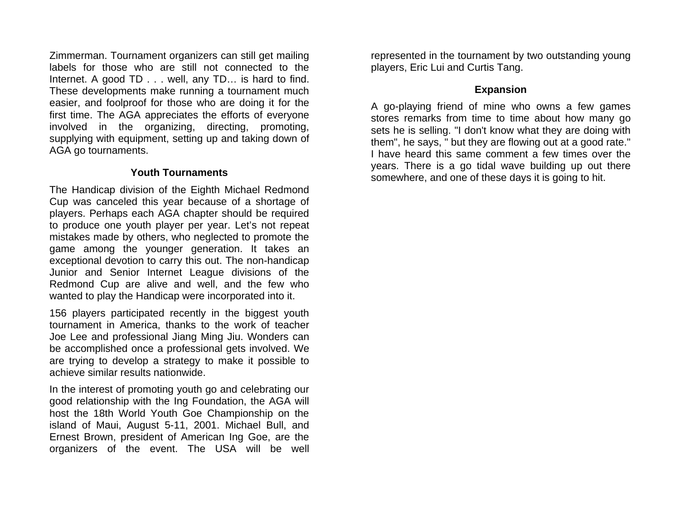Zimmerman. Tournament organizers can still get mailing labels for those who are still not connected to the Internet. A good TD . . . well, any TD… is hard to find. These developments make running a tournament much easier, and foolproof for those who are doing it for the first time. The AGA appreciates the efforts of everyone involved in the organizing, directing, promoting, supplying with equipment, setting up and taking down of AGA go tournaments.

#### **Youth Tournaments**

The Handicap division of the Eighth Michael Redmond Cup was canceled this year because of a shortage of players. Perhaps each AGA chapter should be required to produce one youth player per year. Let's not repeat mistakes made by others, who neglected to promote the game among the younger generation. It takes an exceptional devotion to carry this out. The non-handicap Junior and Senior Internet League divisions of the Redmond Cup are alive and well, and the few who wanted to play the Handicap were incorporated into it.

156 players participated recently in the biggest youth tournament in America, thanks to the work of teacher Joe Lee and professional Jiang Ming Jiu. Wonders can be accomplished once a professional gets involved. We are trying to develop a strategy to make it possible to achieve similar results nationwide.

In the interest of promoting youth go and celebrating our good relationship with the Ing Foundation, the AGA will host the 18th World Youth Goe Championship on the island of Maui, August 5-11, 2001. Michael Bull, and Ernest Brown, president of American Ing Goe, are the organizers of the event. The USA will be well represented in the tournament by two outstanding young players, Eric Lui and Curtis Tang.

#### **Expansion**

A go-playing friend of mine who owns a few games stores remarks from time to time about how many go sets he is selling. "I don't know what they are doing with them", he says, " but they are flowing out at a good rate." I have heard this same comment a few times over the years. There is a go tidal wave building up out there somewhere, and one of these days it is going to hit.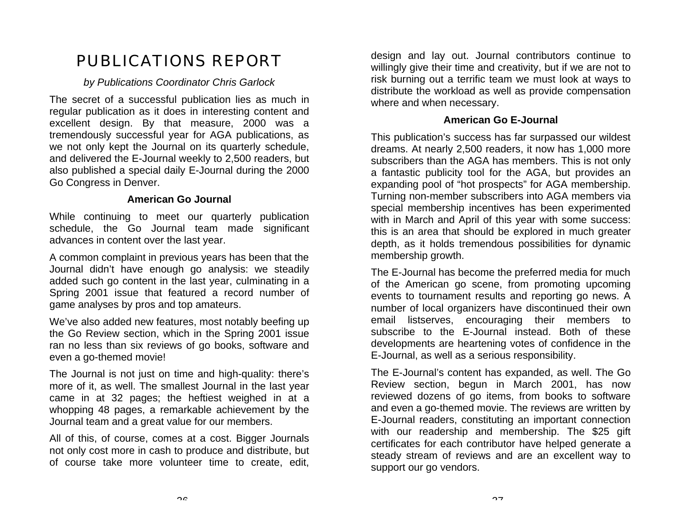## PUBLICATIONS REPORT

### *by Publications Coordinator Chris Garlock*

The secret of a successful publication lies as much in regular publication as it does in interesting content and excellent design. By that measure, 2000 was a tremendously successful year for AGA publications, as we not only kept the Journal on its quarterly schedule, and delivered the E-Journal weekly to 2,500 readers, but also published a special daily E-Journal during the 2000 Go Congress in Denver.

#### **American Go Journal**

While continuing to meet our quarterly publication schedule, the Go Journal team made significant advances in content over the last year.

A common complaint in previous years has been that the Journal didn't have enough go analysis: we steadily added such go content in the last year, culminating in a Spring 2001 issue that featured a record number of game analyses by pros and top amateurs.

We've also added new features, most notably beefing up the Go Review section, which in the Spring 2001 issue ran no less than six reviews of go books, software and even a go-themed movie!

The Journal is not just on time and high-quality: there's more of it, as well. The smallest Journal in the last year came in at 32 pages; the heftiest weighed in at a whopping 48 pages, a remarkable achievement by the Journal team and a great value for our members.

All of this, of course, comes at a cost. Bigger Journals not only cost more in cash to produce and distribute, but of course take more volunteer time to create, edit,

design and lay out. Journal contributors continue to willingly give their time and creativity, but if we are not to risk burning out a terrific team we must look at ways to distribute the workload as well as provide compensation where and when necessary.

### **American Go E-Journal**

This publication's success has far surpassed our wildest dreams. At nearly 2,500 readers, it now has 1,000 more subscribers than the AGA has members. This is not only a fantastic publicity tool for the AGA, but provides an expanding pool of "hot prospects" for AGA membership. Turning non-member subscribers into AGA members via special membership incentives has been experimented with in March and April of this year with some success: this is an area that should be explored in much greater depth, as it holds tremendous possibilities for dynamic membership growth.

The E-Journal has become the preferred media for much of the American go scene, from promoting upcoming events to tournament results and reporting go news. A number of local organizers have discontinued their own email listserves, encouraging their members to subscribe to the E-Journal instead. Both of these developments are heartening votes of confidence in the E-Journal, as well as a serious responsibility.

The E-Journal's content has expanded, as well. The Go Review section, begun in March 2001, has now reviewed dozens of go items, from books to software and even a go-themed movie. The reviews are written by E-Journal readers, constituting an important connection with our readership and membership. The \$25 gift certificates for each contributor have helped generate a steady stream of reviews and are an excellent way to support our go vendors.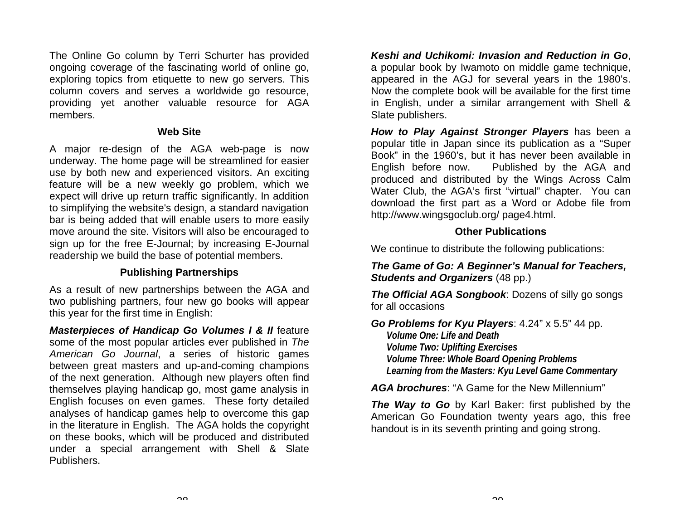The Online Go column by Terri Schurter has provided ongoing coverage of the fascinating world of online go, exploring topics from etiquette to new go servers. This column covers and serves a worldwide go resource, providing yet another valuable resource for AGA members.

#### **Web Site**

A major re-design of the AGA web-page is now underway. The home page will be streamlined for easier use by both new and experienced visitors. An exciting feature will be a new weekly go problem, which we expect will drive up return traffic significantly. In addition to simplifying the website's design, a standard navigation bar is being added that will enable users to more easily move around the site. Visitors will also be encouraged to sign up for the free E-Journal; by increasing E-Journal readership we build the base of potential members.

#### **Publishing Partnerships**

As a result of new partnerships between the AGA and two publishing partners, four new go books will appear this year for the first time in English:

*Masterpieces of Handicap Go Volumes I & II* feature some of the most popular articles ever published in *The American Go Journal*, a series of historic games between great masters and up-and-coming champions of the next generation. Although new players often find themselves playing handicap go, most game analysis in English focuses on even games. These forty detailed analyses of handicap games help to overcome this gap in the literature in English. The AGA holds the copyright on these books, which will be produced and distributed under a special arrangement with Shell & Slate Publishers.

*Keshi and Uchikomi: Invasion and Reduction in Go*, a popular book by Iwamoto on middle game technique, appeared in the AGJ for several years in the 1980's. Now the complete book will be available for the first time in English, under a similar arrangement with Shell & Slate publishers.

*How to Play Against Stronger Players* has been a popular title in Japan since its publication as a "Super Book" in the 1960's, but it has never been available in English before now. Published by the AGA and produced and distributed by the Wings Across Calm Water Club, the AGA's first "virtual" chapter. You can download the first part as a Word or Adobe file from http://www.wingsgoclub.org/ page4.html.

#### **Other Publications**

We continue to distribute the following publications:

*The Game of Go: A Beginner's Manual for Teachers, Students and Organizers* (48 pp.)

*The Official AGA Songbook*: Dozens of silly go songs for all occasions

*Go Problems for Kyu Players*: 4.24" x 5.5" 44 pp. *Volume One: Life and Death Volume Two: Uplifting Exercises Volume Three: Whole Board Opening Problems Learning from the Masters: Kyu Level Game Commentary*

*AGA brochures*: "A Game for the New Millennium"

*The Way to Go* by Karl Baker: first published by the American Go Foundation twenty years ago, this free handout is in its seventh printing and going strong.